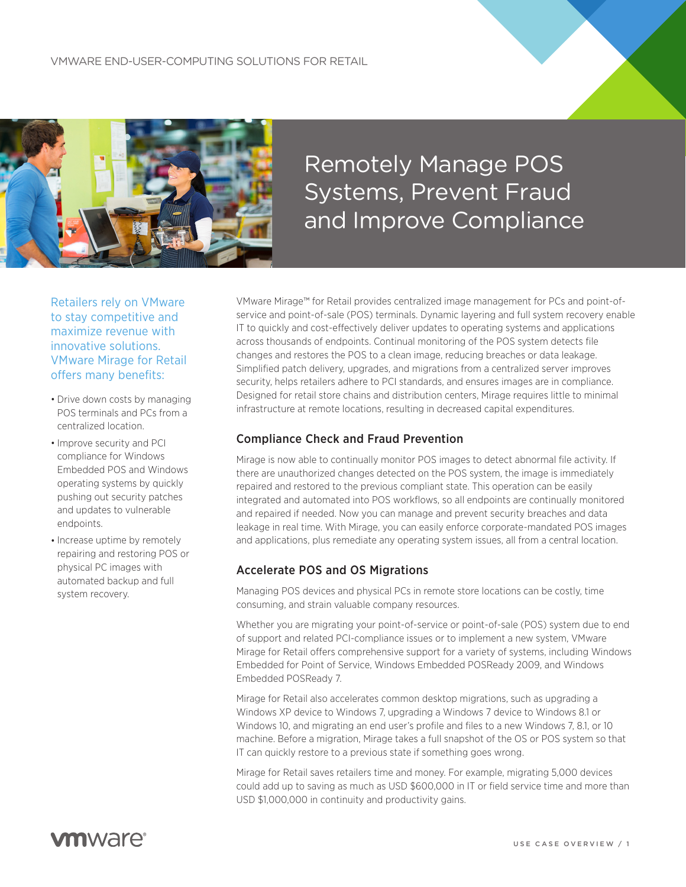

# Remotely Manage POS Systems, Prevent Fraud and Improve Compliance

Retailers rely on VMware to stay competitive and maximize revenue with innovative solutions. VMware Mirage for Retail offers many benefits:

- Drive down costs by managing POS terminals and PCs from a centralized location.
- Improve security and PCI compliance for Windows Embedded POS and Windows operating systems by quickly pushing out security patches and updates to vulnerable endpoints.
- Increase uptime by remotely repairing and restoring POS or physical PC images with automated backup and full system recovery.

VMware Mirage™ for Retail provides centralized image management for PCs and point-ofservice and point-of-sale (POS) terminals. Dynamic layering and full system recovery enable IT to quickly and cost-effectively deliver updates to operating systems and applications across thousands of endpoints. Continual monitoring of the POS system detects file changes and restores the POS to a clean image, reducing breaches or data leakage. Simplified patch delivery, upgrades, and migrations from a centralized server improves security, helps retailers adhere to PCI standards, and ensures images are in compliance. Designed for retail store chains and distribution centers, Mirage requires little to minimal infrastructure at remote locations, resulting in decreased capital expenditures.

#### Compliance Check and Fraud Prevention

Mirage is now able to continually monitor POS images to detect abnormal file activity. If there are unauthorized changes detected on the POS system, the image is immediately repaired and restored to the previous compliant state. This operation can be easily integrated and automated into POS workflows, so all endpoints are continually monitored and repaired if needed. Now you can manage and prevent security breaches and data leakage in real time. With Mirage, you can easily enforce corporate-mandated POS images and applications, plus remediate any operating system issues, all from a central location.

#### Accelerate POS and OS Migrations

Managing POS devices and physical PCs in remote store locations can be costly, time consuming, and strain valuable company resources.

Whether you are migrating your point-of-service or point-of-sale (POS) system due to end of support and related PCI-compliance issues or to implement a new system, VMware Mirage for Retail offers comprehensive support for a variety of systems, including Windows Embedded for Point of Service, Windows Embedded POSReady 2009, and Windows Embedded POSReady 7.

Mirage for Retail also accelerates common desktop migrations, such as upgrading a Windows XP device to Windows 7, upgrading a Windows 7 device to Windows 8.1 or Windows 10, and migrating an end user's profile and files to a new Windows 7, 8.1, or 10 machine. Before a migration, Mirage takes a full snapshot of the OS or POS system so that IT can quickly restore to a previous state if something goes wrong.

Mirage for Retail saves retailers time and money. For example, migrating 5,000 devices could add up to saving as much as USD \$600,000 in IT or field service time and more than USD \$1,000,000 in continuity and productivity gains.

## **vm**ware<sup>®</sup>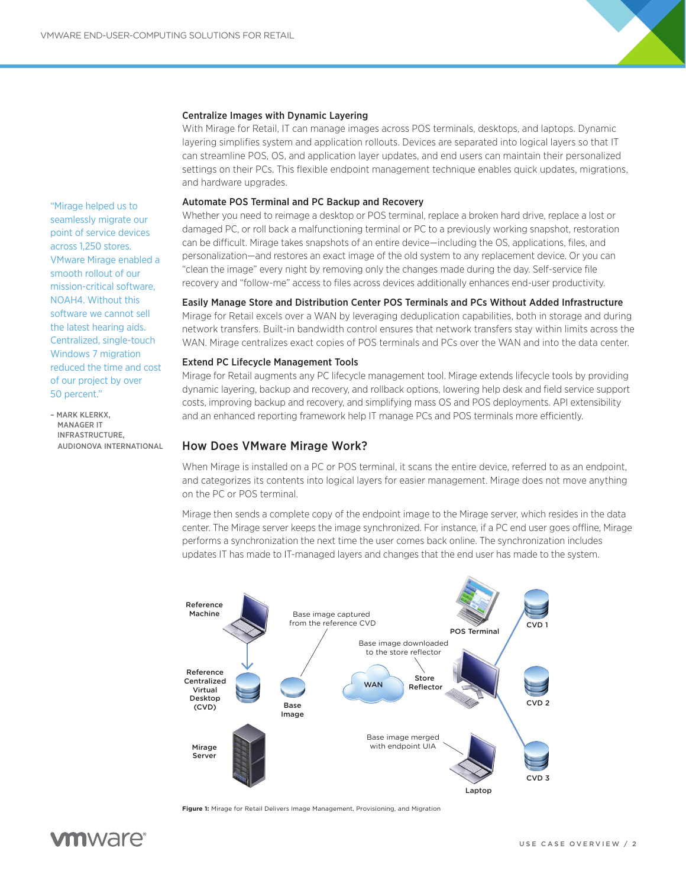

#### Centralize Images with Dynamic Layering

With Mirage for Retail, IT can manage images across POS terminals, desktops, and laptops. Dynamic layering simplifies system and application rollouts. Devices are separated into logical layers so that IT can streamline POS, OS, and application layer updates, and end users can maintain their personalized settings on their PCs. This flexible endpoint management technique enables quick updates, migrations, and hardware upgrades.

#### Automate POS Terminal and PC Backup and Recovery

Whether you need to reimage a desktop or POS terminal, replace a broken hard drive, replace a lost or damaged PC, or roll back a malfunctioning terminal or PC to a previously working snapshot, restoration can be difficult. Mirage takes snapshots of an entire device—including the OS, applications, files, and personalization—and restores an exact image of the old system to any replacement device. Or you can "clean the image" every night by removing only the changes made during the day. Self-service file recovery and "follow-me" access to files across devices additionally enhances end-user productivity.

#### Easily Manage Store and Distribution Center POS Terminals and PCs Without Added Infrastructure

Mirage for Retail excels over a WAN by leveraging deduplication capabilities, both in storage and during network transfers. Built-in bandwidth control ensures that network transfers stay within limits across the WAN. Mirage centralizes exact copies of POS terminals and PCs over the WAN and into the data center.

#### Extend PC Lifecycle Management Tools

Mirage for Retail augments any PC lifecycle management tool. Mirage extends lifecycle tools by providing dynamic layering, backup and recovery, and rollback options, lowering help desk and field service support costs, improving backup and recovery, and simplifying mass OS and POS deployments. API extensibility and an enhanced reporting framework help IT manage PCs and POS terminals more efficiently.

#### How Does VMware Mirage Work?

When Mirage is installed on a PC or POS terminal, it scans the entire device, referred to as an endpoint, and categorizes its contents into logical layers for easier management. Mirage does not move anything on the PC or POS terminal.

Mirage then sends a complete copy of the endpoint image to the Mirage server, which resides in the data center. The Mirage server keeps the image synchronized. For instance, if a PC end user goes offline, Mirage performs a synchronization the next time the user comes back online. The synchronization includes updates IT has made to IT-managed layers and changes that the end user has made to the system.



**Figure 1:** Mirage for Retail Delivers Image Management, Provisioning, and Migration

"Mirage helped us to seamlessly migrate our point of service devices across 1,250 stores. VMware Mirage enabled a smooth rollout of our mission-critical software, NOAH4. Without this software we cannot sell the latest hearing aids. Centralized, single-touch Windows 7 migration reduced the time and cost of our project by over 50 percent."

– MARK KLERKX, MANAGER IT INFRASTRUCTURE, AUDIONOVA INTERNATIONAL